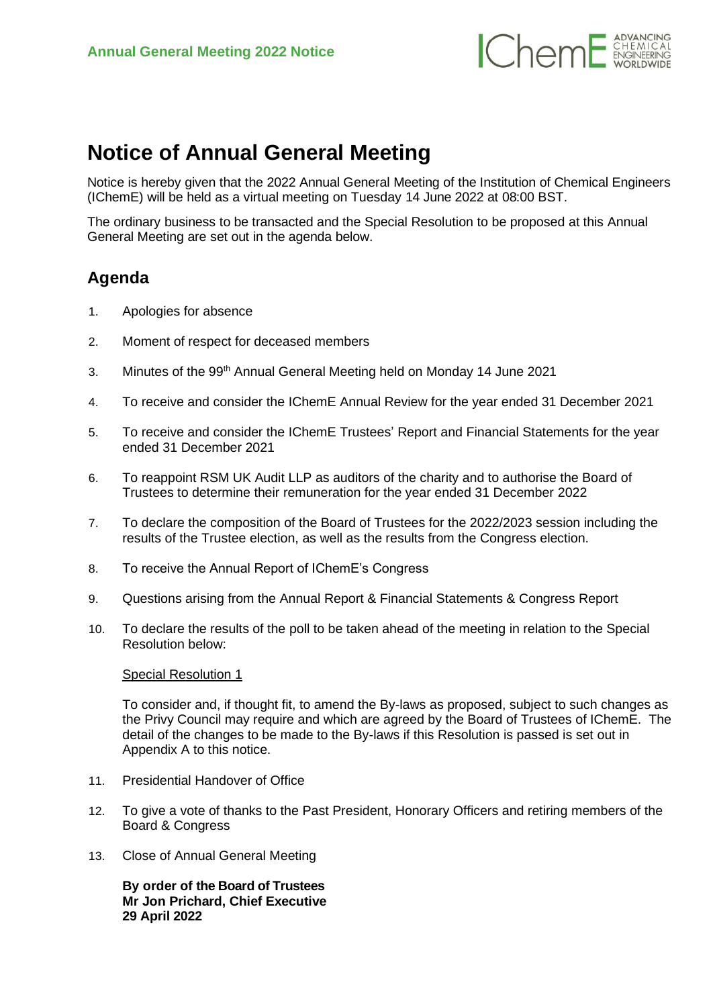

## **Notice of Annual General Meeting**

Notice is hereby given that the 2022 Annual General Meeting of the Institution of Chemical Engineers (IChemE) will be held as a virtual meeting on Tuesday 14 June 2022 at 08:00 BST.

The ordinary business to be transacted and the Special Resolution to be proposed at this Annual General Meeting are set out in the agenda below.

## **Agenda**

- 1. Apologies for absence
- 2. Moment of respect for deceased members
- 3. Minutes of the 99<sup>th</sup> Annual General Meeting held on Monday 14 June 2021
- 4. To receive and consider the IChemE Annual Review for the year ended 31 December 2021
- 5. To receive and consider the IChemE Trustees' Report and Financial Statements for the year ended 31 December 2021
- 6. To reappoint RSM UK Audit LLP as auditors of the charity and to authorise the Board of Trustees to determine their remuneration for the year ended 31 December 2022
- 7. To declare the composition of the Board of Trustees for the 2022/2023 session including the results of the Trustee election, as well as the results from the Congress election.
- 8. To receive the Annual Report of IChemE's Congress
- 9. Questions arising from the Annual Report & Financial Statements & Congress Report
- 10. To declare the results of the poll to be taken ahead of the meeting in relation to the Special Resolution below:

## Special Resolution 1

To consider and, if thought fit, to amend the By-laws as proposed, subject to such changes as the Privy Council may require and which are agreed by the Board of Trustees of IChemE. The detail of the changes to be made to the By-laws if this Resolution is passed is set out in Appendix A to this notice.

- 11. Presidential Handover of Office
- 12. To give a vote of thanks to the Past President, Honorary Officers and retiring members of the Board & Congress
- 13. Close of Annual General Meeting

**By order of the Board of Trustees Mr Jon Prichard, Chief Executive 29 April 2022**